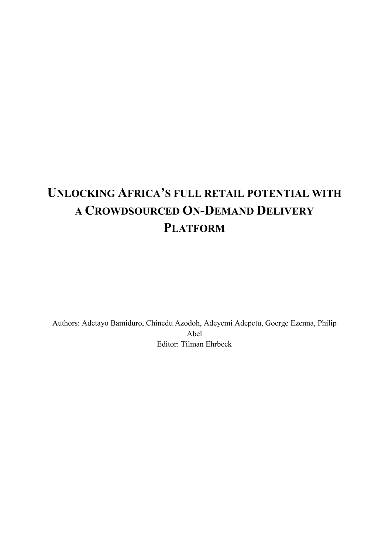# **UNLOCKING AFRICA'S FULL RETAIL POTENTIAL WITH A CROWDSOURCED ON-DEMAND DELIVERY PLATFORM**

Authors: Adetayo Bamiduro, Chinedu Azodoh, Adeyemi Adepetu, Goerge Ezenna, Philip Abel Editor: Tilman Ehrbeck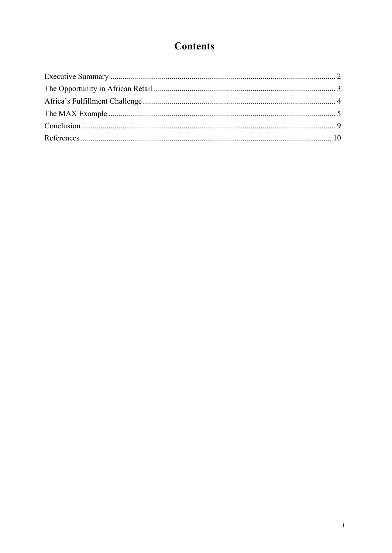# **Contents**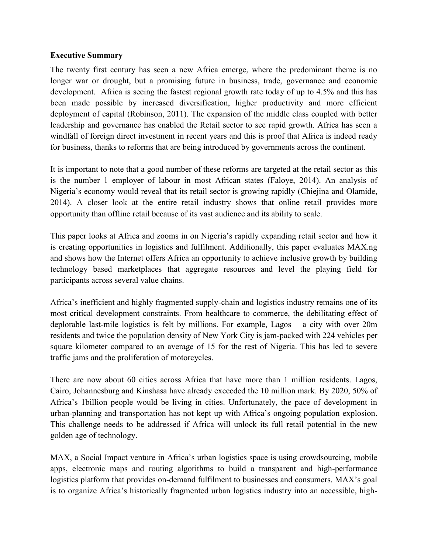#### **Executive Summary**

The twenty first century has seen a new Africa emerge, where the predominant theme is no longer war or drought, but a promising future in business, trade, governance and economic development. Africa is seeing the fastest regional growth rate today of up to 4.5% and this has been made possible by increased diversification, higher productivity and more efficient deployment of capital (Robinson, 2011). The expansion of the middle class coupled with better leadership and governance has enabled the Retail sector to see rapid growth. Africa has seen a windfall of foreign direct investment in recent years and this is proof that Africa is indeed ready for business, thanks to reforms that are being introduced by governments across the continent.

It is important to note that a good number of these reforms are targeted at the retail sector as this is the number 1 employer of labour in most African states (Faloye, 2014). An analysis of Nigeria's economy would reveal that its retail sector is growing rapidly (Chiejina and Olamide, 2014). A closer look at the entire retail industry shows that online retail provides more opportunity than offline retail because of its vast audience and its ability to scale.

This paper looks at Africa and zooms in on Nigeria's rapidly expanding retail sector and how it is creating opportunities in logistics and fulfilment. Additionally, this paper evaluates MAX.ng and shows how the Internet offers Africa an opportunity to achieve inclusive growth by building technology based marketplaces that aggregate resources and level the playing field for participants across several value chains.

Africa's inefficient and highly fragmented supply-chain and logistics industry remains one of its most critical development constraints. From healthcare to commerce, the debilitating effect of deplorable last-mile logistics is felt by millions. For example, Lagos – a city with over 20m residents and twice the population density of New York City is jam-packed with 224 vehicles per square kilometer compared to an average of 15 for the rest of Nigeria. This has led to severe traffic jams and the proliferation of motorcycles.

There are now about 60 cities across Africa that have more than 1 million residents. Lagos, Cairo, Johannesburg and Kinshasa have already exceeded the 10 million mark. By 2020, 50% of Africa's 1billion people would be living in cities. Unfortunately, the pace of development in urban-planning and transportation has not kept up with Africa's ongoing population explosion. This challenge needs to be addressed if Africa will unlock its full retail potential in the new golden age of technology.

MAX, a Social Impact venture in Africa's urban logistics space is using crowdsourcing, mobile apps, electronic maps and routing algorithms to build a transparent and high-performance logistics platform that provides on-demand fulfilment to businesses and consumers. MAX's goal is to organize Africa's historically fragmented urban logistics industry into an accessible, high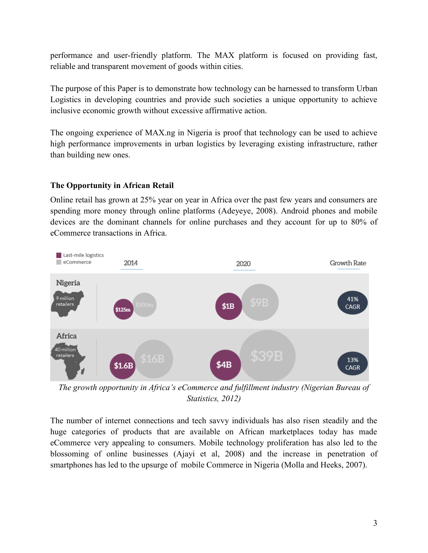performance and user-friendly platform. The MAX platform is focused on providing fast, reliable and transparent movement of goods within cities.

The purpose of this Paper is to demonstrate how technology can be harnessed to transform Urban Logistics in developing countries and provide such societies a unique opportunity to achieve inclusive economic growth without excessive affirmative action.

The ongoing experience of MAX.ng in Nigeria is proof that technology can be used to achieve high performance improvements in urban logistics by leveraging existing infrastructure, rather than building new ones.

#### **The Opportunity in African Retail**

Online retail has grown at 25% year on year in Africa over the past few years and consumers are spending more money through online platforms (Adeyeye, 2008). Android phones and mobile devices are the dominant channels for online purchases and they account for up to 80% of eCommerce transactions in Africa.



*The growth opportunity in Africa's eCommerce and fulfillment industry (Nigerian Bureau of Statistics, 2012)*

The number of internet connections and tech savvy individuals has also risen steadily and the huge categories of products that are available on African marketplaces today has made eCommerce very appealing to consumers. Mobile technology proliferation has also led to the blossoming of online businesses (Ajayi et al, 2008) and the increase in penetration of smartphones has led to the upsurge of mobile Commerce in Nigeria (Molla and Heeks, 2007).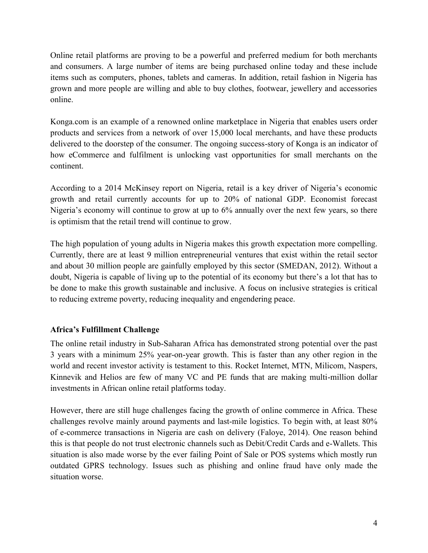Online retail platforms are proving to be a powerful and preferred medium for both merchants and consumers. A large number of items are being purchased online today and these include items such as computers, phones, tablets and cameras. In addition, retail fashion in Nigeria has grown and more people are willing and able to buy clothes, footwear, jewellery and accessories online.

Konga.com is an example of a renowned online marketplace in Nigeria that enables users order products and services from a network of over 15,000 local merchants, and have these products delivered to the doorstep of the consumer. The ongoing success-story of Konga is an indicator of how eCommerce and fulfilment is unlocking vast opportunities for small merchants on the continent.

According to a 2014 McKinsey report on Nigeria, retail is a key driver of Nigeria's economic growth and retail currently accounts for up to 20% of national GDP. Economist forecast Nigeria's economy will continue to grow at up to 6% annually over the next few years, so there is optimism that the retail trend will continue to grow.

The high population of young adults in Nigeria makes this growth expectation more compelling. Currently, there are at least 9 million entrepreneurial ventures that exist within the retail sector and about 30 million people are gainfully employed by this sector (SMEDAN, 2012). Without a doubt, Nigeria is capable of living up to the potential of its economy but there's a lot that has to be done to make this growth sustainable and inclusive. A focus on inclusive strategies is critical to reducing extreme poverty, reducing inequality and engendering peace.

#### **Africa's Fulfillment Challenge**

The online retail industry in Sub-Saharan Africa has demonstrated strong potential over the past 3 years with a minimum 25% year-on-year growth. This is faster than any other region in the world and recent investor activity is testament to this. Rocket Internet, MTN, Milicom, Naspers, Kinnevik and Helios are few of many VC and PE funds that are making multi-million dollar investments in African online retail platforms today.

However, there are still huge challenges facing the growth of online commerce in Africa. These challenges revolve mainly around payments and last-mile logistics. To begin with, at least 80% of e-commerce transactions in Nigeria are cash on delivery (Faloye, 2014). One reason behind this is that people do not trust electronic channels such as Debit/Credit Cards and e-Wallets. This situation is also made worse by the ever failing Point of Sale or POS systems which mostly run outdated GPRS technology. Issues such as phishing and online fraud have only made the situation worse.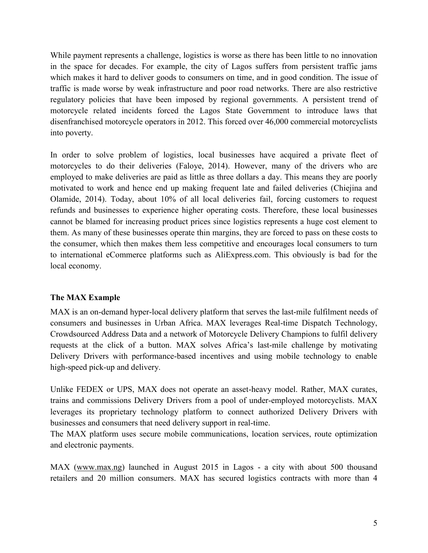While payment represents a challenge, logistics is worse as there has been little to no innovation in the space for decades. For example, the city of Lagos suffers from persistent traffic jams which makes it hard to deliver goods to consumers on time, and in good condition. The issue of traffic is made worse by weak infrastructure and poor road networks. There are also restrictive regulatory policies that have been imposed by regional governments. A persistent trend of motorcycle related incidents forced the Lagos State Government to introduce laws that disenfranchised motorcycle operators in 2012. This forced over 46,000 commercial motorcyclists into poverty.

In order to solve problem of logistics, local businesses have acquired a private fleet of motorcycles to do their deliveries (Faloye, 2014). However, many of the drivers who are employed to make deliveries are paid as little as three dollars a day. This means they are poorly motivated to work and hence end up making frequent late and failed deliveries (Chiejina and Olamide, 2014). Today, about 10% of all local deliveries fail, forcing customers to request refunds and businesses to experience higher operating costs. Therefore, these local businesses cannot be blamed for increasing product prices since logistics represents a huge cost element to them. As many of these businesses operate thin margins, they are forced to pass on these costs to the consumer, which then makes them less competitive and encourages local consumers to turn to international eCommerce platforms such as AliExpress.com. This obviously is bad for the local economy.

#### **The MAX Example**

MAX is an on-demand hyper-local delivery platform that serves the last-mile fulfilment needs of consumers and businesses in Urban Africa. MAX leverages Real-time Dispatch Technology, Crowdsourced Address Data and a network of Motorcycle Delivery Champions to fulfil delivery requests at the click of a button. MAX solves Africa's last-mile challenge by motivating Delivery Drivers with performance-based incentives and using mobile technology to enable high-speed pick-up and delivery.

Unlike FEDEX or UPS, MAX does not operate an asset-heavy model. Rather, MAX curates, trains and commissions Delivery Drivers from a pool of under-employed motorcyclists. MAX leverages its proprietary technology platform to connect authorized Delivery Drivers with businesses and consumers that need delivery support in real-time.

The MAX platform uses secure mobile communications, location services, route optimization and electronic payments.

MAX [\(www.max.ng\)](http://www.max.ng/) launched in August 2015 in Lagos - a city with about 500 thousand retailers and 20 million consumers. MAX has secured logistics contracts with more than 4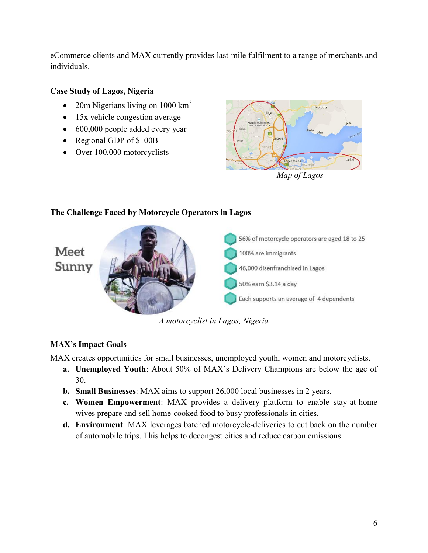eCommerce clients and MAX currently provides last-mile fulfilment to a range of merchants and individuals.

### **Case Study of Lagos, Nigeria**

- 20m Nigerians living on  $1000 \text{ km}^2$
- 15x vehicle congestion average
- 600,000 people added every year
- Regional GDP of \$100B
- Over 100,000 motorcyclists



## **The Challenge Faced by Motorcycle Operators in Lagos** 56% of motorcycle operators are aged 18 to 25 Meet 100% are immigrants Sunny 46,000 disenfranchised in Lagos 50% earn \$3.14 a day Each supports an average of 4 dependents

*A motorcyclist in Lagos, Nigeria*

### **MAX's Impact Goals**

MAX creates opportunities for small businesses, unemployed youth, women and motorcyclists.

- **a. Unemployed Youth**: About 50% of MAX's Delivery Champions are below the age of 30.
- **b. Small Businesses**: MAX aims to support 26,000 local businesses in 2 years.
- **c. Women Empowerment**: MAX provides a delivery platform to enable stay-at-home wives prepare and sell home-cooked food to busy professionals in cities.
- **d. Environment**: MAX leverages batched motorcycle-deliveries to cut back on the number of automobile trips. This helps to decongest cities and reduce carbon emissions.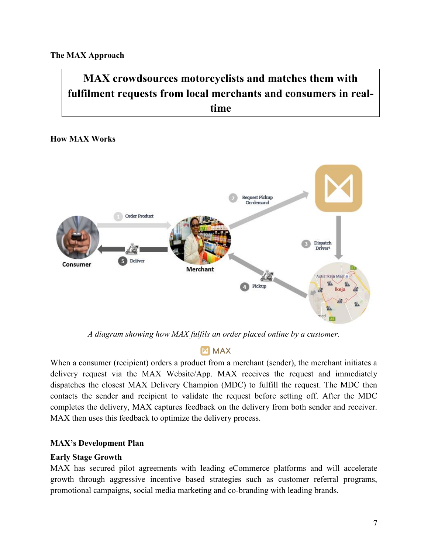# **MAX crowdsources motorcyclists and matches them with fulfilment requests from local merchants and consumers in realtime**

#### **How MAX Works**



*A diagram showing how MAX fulfils an order placed online by a customer.*

### **M MAX**

When a consumer (recipient) orders a product from a merchant (sender), the merchant initiates a delivery request via the MAX Website/App. MAX receives the request and immediately dispatches the closest MAX Delivery Champion (MDC) to fulfill the request. The MDC then contacts the sender and recipient to validate the request before setting off. After the MDC completes the delivery, MAX captures feedback on the delivery from both sender and receiver. MAX then uses this feedback to optimize the delivery process.

#### **MAX's Development Plan**

#### **Early Stage Growth**

MAX has secured pilot agreements with leading eCommerce platforms and will accelerate growth through aggressive incentive based strategies such as customer referral programs, promotional campaigns, social media marketing and co-branding with leading brands.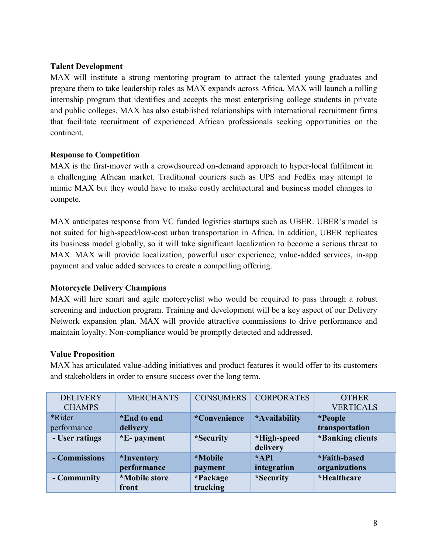#### **Talent Development**

MAX will institute a strong mentoring program to attract the talented young graduates and prepare them to take leadership roles as MAX expands across Africa. MAX will launch a rolling internship program that identifies and accepts the most enterprising college students in private and public colleges. MAX has also established relationships with international recruitment firms that facilitate recruitment of experienced African professionals seeking opportunities on the continent.

#### **Response to Competition**

MAX is the first-mover with a crowdsourced on-demand approach to hyper-local fulfilment in a challenging African market. Traditional couriers such as UPS and FedEx may attempt to mimic MAX but they would have to make costly architectural and business model changes to compete.

MAX anticipates response from VC funded logistics startups such as UBER. UBER's model is not suited for high-speed/low-cost urban transportation in Africa. In addition, UBER replicates its business model globally, so it will take significant localization to become a serious threat to MAX. MAX will provide localization, powerful user experience, value-added services, in-app payment and value added services to create a compelling offering.

#### **Motorcycle Delivery Champions**

MAX will hire smart and agile motorcyclist who would be required to pass through a robust screening and induction program. Training and development will be a key aspect of our Delivery Network expansion plan. MAX will provide attractive commissions to drive performance and maintain loyalty. Non-compliance would be promptly detected and addressed.

#### **Value Proposition**

MAX has articulated value-adding initiatives and product features it would offer to its customers and stakeholders in order to ensure success over the long term.

| <b>DELIVERY</b> | <b>MERCHANTS</b>  | <b>CONSUMERS</b> | <b>CORPORATES</b> | <b>OTHER</b>     |
|-----------------|-------------------|------------------|-------------------|------------------|
| <b>CHAMPS</b>   |                   |                  |                   | <b>VERTICALS</b> |
| <i>*</i> Rider  | *End to end       | *Convenience     | *Availability     | <i>*People</i>   |
| performance     | delivery          |                  |                   | transportation   |
| - User ratings  | *E-payment        | *Security        | *High-speed       | *Banking clients |
|                 |                   |                  |                   |                  |
|                 |                   |                  | delivery          |                  |
| - Commissions   | <i>*Inventory</i> | <i>*Mobile</i>   | $*API$            | *Faith-based     |
|                 | performance       | payment          | integration       | organizations    |
| - Community     | *Mobile store     | *Package         | *Security         | *Healthcare      |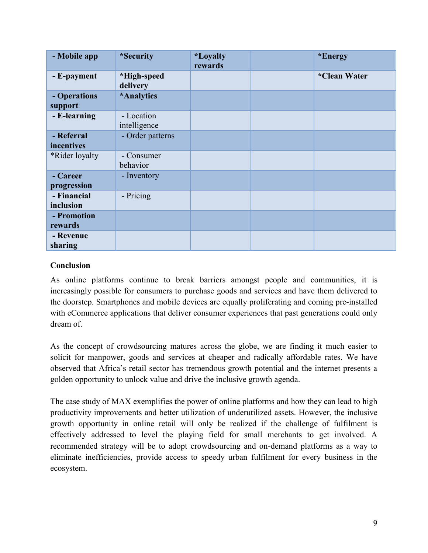| - Mobile app             | *Security                  | <i><b>*Loyalty</b></i><br>rewards | *Energy      |
|--------------------------|----------------------------|-----------------------------------|--------------|
| - E-payment              | *High-speed<br>delivery    |                                   | *Clean Water |
| - Operations<br>support  | *Analytics                 |                                   |              |
| - E-learning             | - Location<br>intelligence |                                   |              |
| - Referral<br>incentives | - Order patterns           |                                   |              |
| *Rider loyalty           | - Consumer<br>behavior     |                                   |              |
| - Career<br>progression  | - Inventory                |                                   |              |
| - Financial<br>inclusion | - Pricing                  |                                   |              |
| - Promotion<br>rewards   |                            |                                   |              |
| - Revenue<br>sharing     |                            |                                   |              |

#### **Conclusion**

As online platforms continue to break barriers amongst people and communities, it is increasingly possible for consumers to purchase goods and services and have them delivered to the doorstep. Smartphones and mobile devices are equally proliferating and coming pre-installed with eCommerce applications that deliver consumer experiences that past generations could only dream of.

As the concept of crowdsourcing matures across the globe, we are finding it much easier to solicit for manpower, goods and services at cheaper and radically affordable rates. We have observed that Africa's retail sector has tremendous growth potential and the internet presents a golden opportunity to unlock value and drive the inclusive growth agenda.

The case study of MAX exemplifies the power of online platforms and how they can lead to high productivity improvements and better utilization of underutilized assets. However, the inclusive growth opportunity in online retail will only be realized if the challenge of fulfilment is effectively addressed to level the playing field for small merchants to get involved. A recommended strategy will be to adopt crowdsourcing and on-demand platforms as a way to eliminate inefficiencies, provide access to speedy urban fulfilment for every business in the ecosystem.